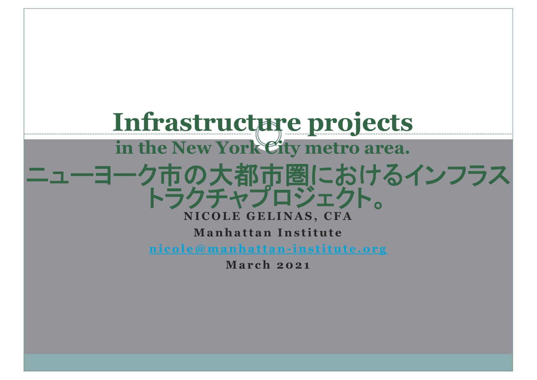

**Ma r ch 2 0 21**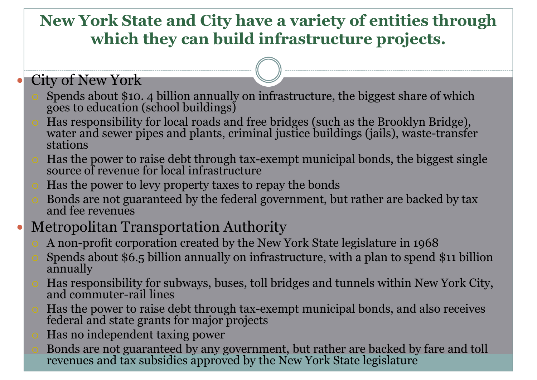#### **New York State and City have a variety of entities through which they can build infrastructure projects.**

#### City of New York

- Spends about \$10. 4 billion annually on infrastructure, the biggest share of which goes to education (school buildings)
- Has responsibility for local roads and free bridges (such as the Brooklyn Bridge), water and sewer pipes and plants, criminal justice buildings (jails), waste-transfer stations
- Has the power to raise debt through tax-exempt municipal bonds, the biggest single source of revenue for local infrastructure
- Has the power to levy property taxes to repay the bonds
- Bonds are not guaranteed by the federal government, but rather are backed by tax and fee revenues

#### Metropolitan Transportation Authority

- A non-profit corporation created by the New York State legislature in 1968
- Spends about \$6.5 billion annually on infrastructure, with a plan to spend \$11 billion annually
- Has responsibility for subways, buses, toll bridges and tunnels within New York City, and commuter-rail lines
- Has the power to raise debt through tax-exempt municipal bonds, and also receives federal and state grants for major projects
- Has no independent taxing power
- Bonds are not guaranteed by any government, but rather are backed by fare and toll revenues and tax subsidies approved by the New York State legislature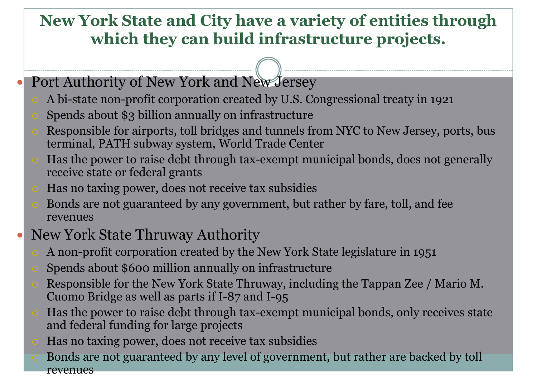#### **New York State and City have a variety of entities through which they can build infrastructure projects.**

- Port Authority of New York and New Jersey
	- A bi-state non-profit corporation created by U.S. Congressional treaty in 1921
	- Spends about \$3 billion annually on infrastructure
	- Responsible for airports, toll bridges and tunnels from NYC to New Jersey, ports, bus terminal, PATH subway system, World Trade Center
	- Has the power to raise debt through tax-exempt municipal bonds, does not generally receive state or federal grants
	- Has no taxing power, does not receive tax subsidies
	- Bonds are not guaranteed by any government, but rather by fare, toll, and fee revenues
- New York State Thruway Authority
	- A non-profit corporation created by the New York State legislature in 1951
	- Spends about \$600 million annually on infrastructure
	- Responsible for the New York State Thruway, including the Tappan Zee / Mario M. Cuomo Bridge as well as parts if I-87 and I-95
	- Has the power to raise debt through tax-exempt municipal bonds, only receives state and federal funding for large projects
	- Has no taxing power, does not receive tax subsidies
	- Bonds are not guaranteed by any level of government, but rather are backed by toll revenues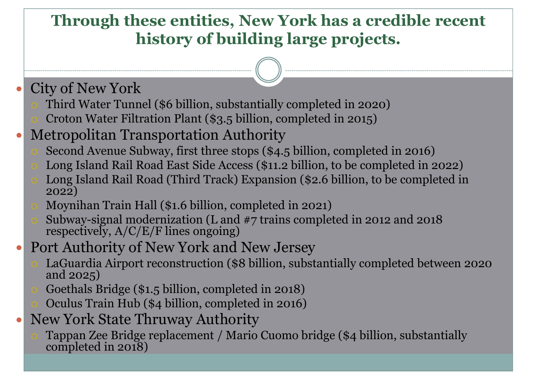#### **Through these entities, New York has a credible recent history of building large projects.**

- City of New York
	- Third Water Tunnel (\$6 billion, substantially completed in 2020)
	- Croton Water Filtration Plant (\$3.5 billion, completed in 2015)
- Metropolitan Transportation Authority
	- Second Avenue Subway, first three stops (\$4.5 billion, completed in 2016)
	- Long Island Rail Road East Side Access (\$11.2 billion, to be completed in 2022)
	- Long Island Rail Road (Third Track) Expansion (\$2.6 billion, to be completed in 2022)
	- Moynihan Train Hall (\$1.6 billion, completed in 2021)
	- Subway-signal modernization (L and #7 trains completed in 2012 and 2018 respectively, A/C/E/F lines ongoing)
- Port Authority of New York and New Jersey
	- LaGuardia Airport reconstruction (\$8 billion, substantially completed between 2020 and 2025)
	- Goethals Bridge (\$1.5 billion, completed in 2018)
	- Oculus Train Hub (\$4 billion, completed in 2016)
- New York State Thruway Authority
	- Tappan Zee Bridge replacement / Mario Cuomo bridge (\$4 billion, substantially completed in 2018)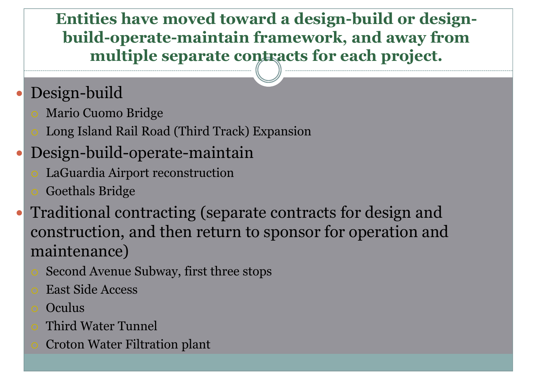**Entities have moved toward a design-build or designbuild-operate-maintain framework, and away from multiple separate contracts for each project.**

# Design-build

- Mario Cuomo Bridge
- Long Island Rail Road (Third Track) Expansion

## Design-build-operate-maintain

- LaGuardia Airport reconstruction
- Goethals Bridge
- Traditional contracting (separate contracts for design and construction, and then return to sponsor for operation and maintenance)
	- Second Avenue Subway, first three stops
	- East Side Access
	- **Oculus**
	- Third Water Tunnel
	- Croton Water Filtration plant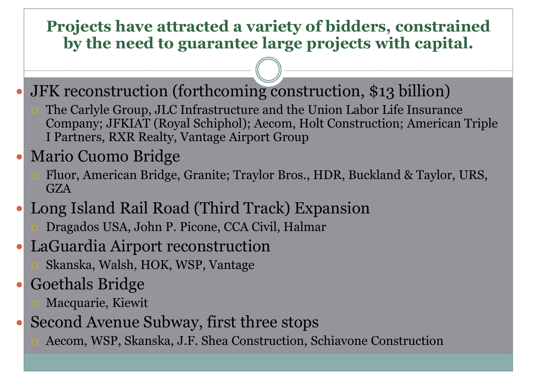#### **Projects have attracted a variety of bidders, constrained by the need to guarantee large projects with capital.**

- JFK reconstruction (forthcoming construction, \$13 billion)
	- The Carlyle Group, JLC Infrastructure and the Union Labor Life Insurance Company; JFKIAT (Royal Schiphol); Aecom, Holt Construction; American Triple I Partners, RXR Realty, Vantage Airport Group

#### Mario Cuomo Bridge

Fluor, American Bridge, Granite; Traylor Bros., HDR, Buckland & Taylor, URS, GZA

## Long Island Rail Road (Third Track) Expansion

- Dragados USA, John P. Picone, CCA Civil, Halmar
- LaGuardia Airport reconstruction  $\bullet$ 
	- Skanska, Walsh, HOK, WSP, Vantage

## Goethals Bridge

- Macquarie, Kiewit
- Second Avenue Subway, first three stops
	- Aecom, WSP, Skanska, J.F. Shea Construction, Schiavone Construction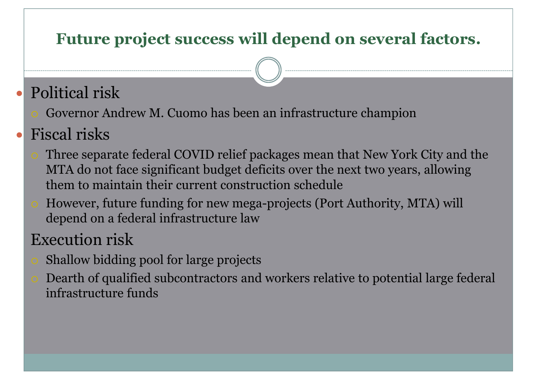#### **Future project success will depend on several factors.**

## Political risk

Governor Andrew M. Cuomo has been an infrastructure champion

# Fiscal risks

- Three separate federal COVID relief packages mean that New York City and the MTA do not face significant budget deficits over the next two years, allowing them to maintain their current construction schedule
- However, future funding for new mega-projects (Port Authority, MTA) will depend on a federal infrastructure law

## Execution risk

- Shallow bidding pool for large projects
- Dearth of qualified subcontractors and workers relative to potential large federal infrastructure funds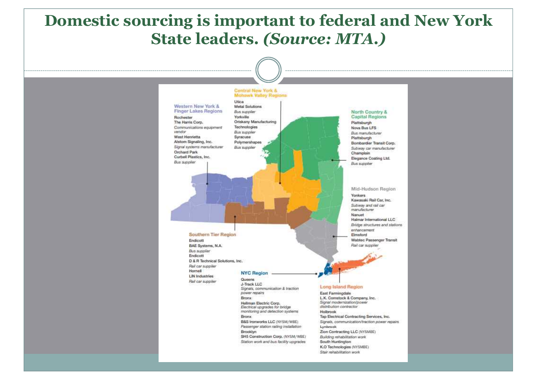#### **Domestic sourcing is important to federal and New York State leaders.** *(Source: MTA.)*

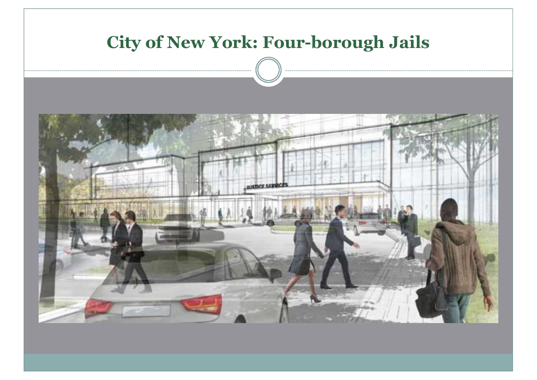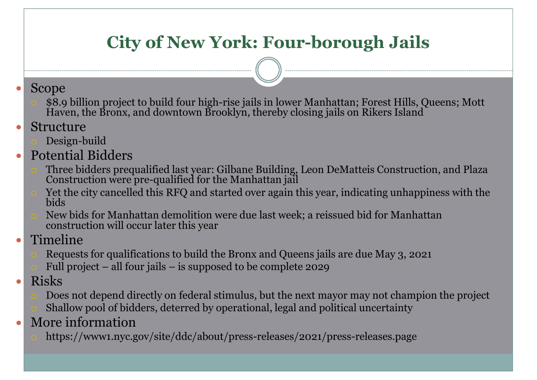## **City of New York: Four-borough Jails**

#### Scope  $\bullet$

- \$8.9 billion project to build four high-rise jails in lower Manhattan; Forest Hills, Queens; Mott Haven, the Bronx, and downtown Brooklyn, thereby closing jails on Rikers Island
- Structure  $\bullet$ 
	- Design-build
- Potential Bidders  $\bullet$ 
	- Three bidders prequalified last year: Gilbane Building, Leon DeMatteis Construction, and Plaza Construction were pre-qualified for the Manhattan jail
	- Yet the city cancelled this RFQ and started over again this year, indicating unhappiness with the bids
	- New bids for Manhattan demolition were due last week; a reissued bid for Manhattan construction will occur later this year
- Timeline
	- Requests for qualifications to build the Bronx and Queens jails are due May 3, 2021
	- Full project all four jails is supposed to be complete 2029
- Risks  $\bullet$ 
	- Does not depend directly on federal stimulus, but the next mayor may not champion the project
	- Shallow pool of bidders, deterred by operational, legal and political uncertainty
- More information  $\bullet$ 
	- https://www1.nyc.gov/site/ddc/about/press-releases/2021/press-releases.page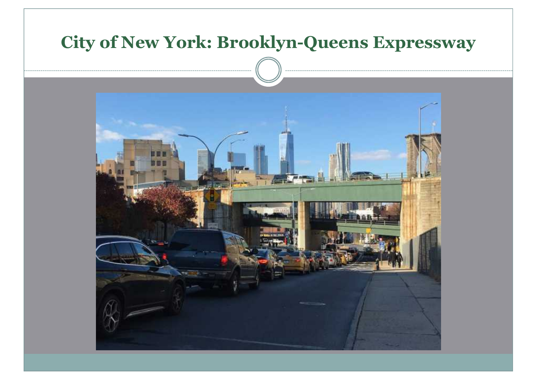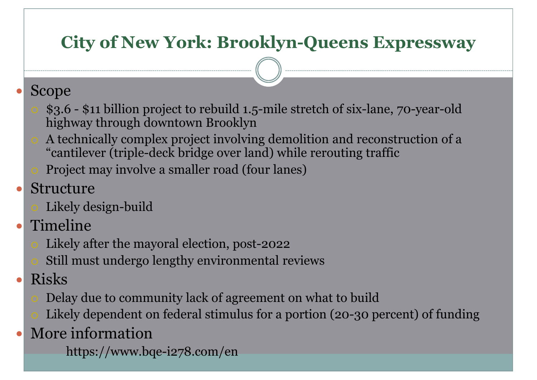## **City of New York: Brooklyn-Queens Expressway**

#### Scope

- \$3.6 \$11 billion project to rebuild 1.5-mile stretch of six-lane, 70-year-old highway through downtown Brooklyn
- A technically complex project involving demolition and reconstruction of a "cantilever (triple-deck bridge over land) while rerouting traffic
- Project may involve a smaller road (four lanes)
- Structure
	- Likely design-build
- Timeline  $\bullet$ 
	- Likely after the mayoral election, post-2022
	- Still must undergo lengthy environmental reviews
- Risks
	- Delay due to community lack of agreement on what to build
	- Likely dependent on federal stimulus for a portion (20-30 percent) of funding
- More information
	- https://www.bqe-i278.com/en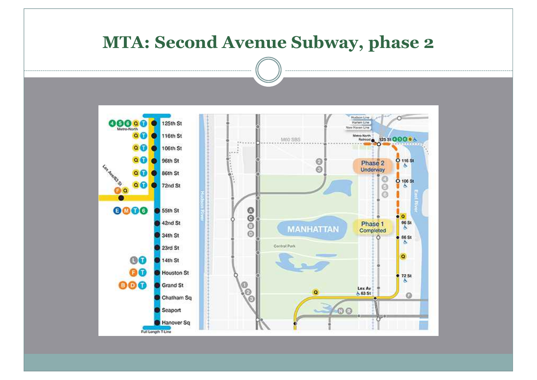#### **MTA: Second Avenue Subway, phase 2**

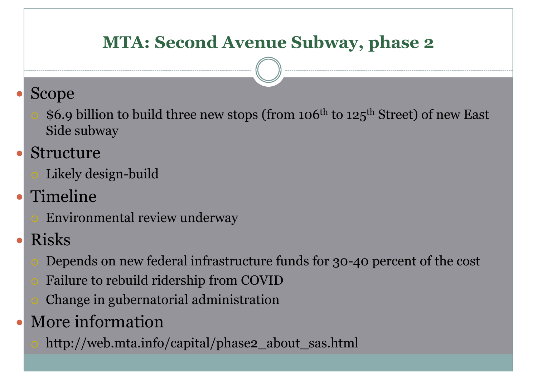## **MTA: Second Avenue Subway, phase 2**

#### Scope

\$6.9 billion to build three new stops (from 106<sup>th</sup> to 125<sup>th</sup> Street) of new East Side subway

## Structure

- Likely design-build
- Timeline
	- Environmental review underway
- Risks
	- Depends on new federal infrastructure funds for 30-40 percent of the cost
	- Failure to rebuild ridership from COVID
	- Change in gubernatorial administration
- More information
	- http://web.mta.info/capital/phase2\_about\_sas.html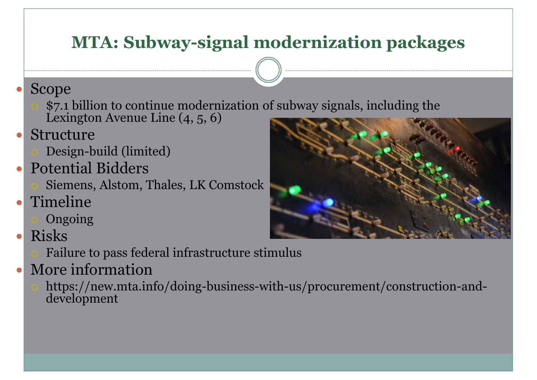## **MTA: Subway-signal modernization packages**

#### Scope

- \$7.1 billion to continue modernization of subway signals, including the Lexington Avenue Line (4, 5, 6)
- Structure
	- Design-build (limited)
- Potential Bidders
	- Siemens, Alstom, Thales, LK Comstock
- Timeline
	- Ongoing
- Risks  $\bullet$ 
	- Failure to pass federal infrastructure stimulus
- More information
	- https://new.mta.info/doing-business-with-us/procurement/construction-anddevelopment

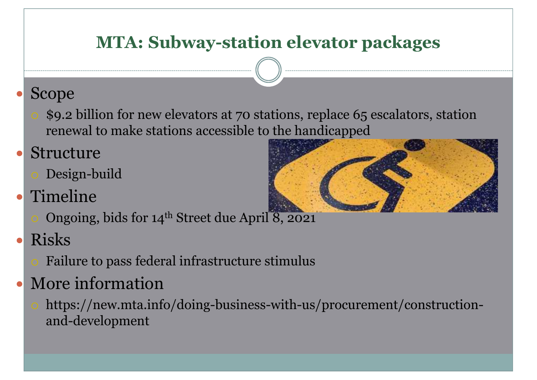## **MTA: Subway-station elevator packages**

## Scope

\$9.2 billion for new elevators at 70 stations, replace 65 escalators, station renewal to make stations accessible to the handicapped

## Structure

Design-build

# Timeline

- Ongoing, bids for 14<sup>th</sup> Street due April 8, 2021
- Risks
	- Failure to pass federal infrastructure stimulus

# More information

https://new.mta.info/doing-business-with-us/procurement/constructionand-development

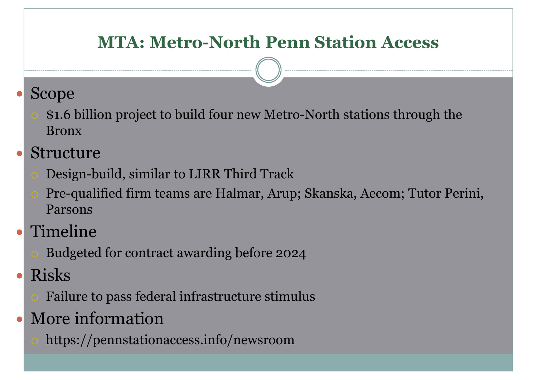## **MTA: Metro-North Penn Station Access**

#### Scope

- \$1.6 billion project to build four new Metro-North stations through the Bronx
- Structure
	- Design-build, similar to LIRR Third Track
	- Pre-qualified firm teams are Halmar, Arup; Skanska, Aecom; Tutor Perini, Parsons
- Timeline
	- Budgeted for contract awarding before 2024
- Risks
	- Failure to pass federal infrastructure stimulus
- More information
	- https://pennstationaccess.info/newsroom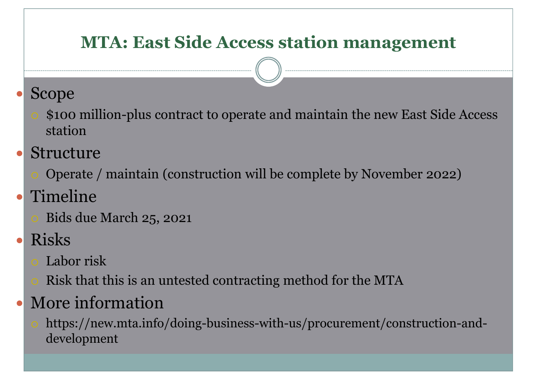## **MTA: East Side Access station management**

#### Scope

- \$100 million-plus contract to operate and maintain the new East Side Access station
- Structure
	- Operate / maintain (construction will be complete by November 2022)
- Timeline
	- Bids due March 25, 2021
- Risks
	- Labor risk
	- Risk that this is an untested contracting method for the MTA

# More information

https://new.mta.info/doing-business-with-us/procurement/construction-anddevelopment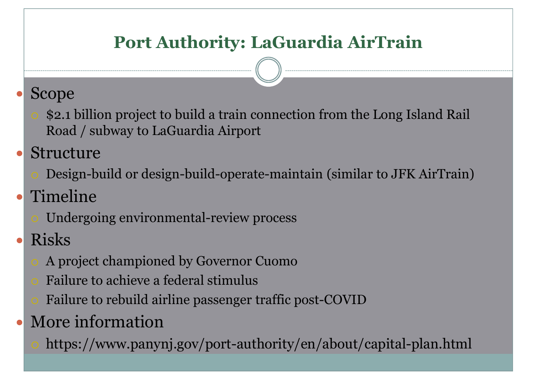## **Port Authority: LaGuardia AirTrain**

## Scope

- \$2.1 billion project to build a train connection from the Long Island Rail Road / subway to LaGuardia Airport
- Structure
	- Design-build or design-build-operate-maintain (similar to JFK AirTrain)

# Timeline

- Undergoing environmental-review process
- Risks
	- A project championed by Governor Cuomo
	- Failure to achieve a federal stimulus
	- Failure to rebuild airline passenger traffic post-COVID
- More information
	- https://www.panynj.gov/port-authority/en/about/capital-plan.html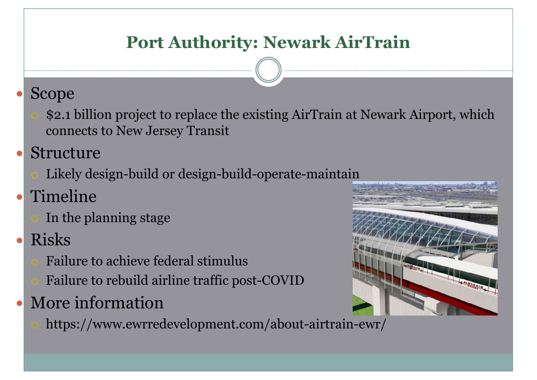## **Port Authority: Newark AirTrain**

## Scope

- \$2.1 billion project to replace the existing AirTrain at Newark Airport, which connects to New Jersey Transit
- Structure
	- Likely design-build or design-build-operate-maintain
- Timeline
	- In the planning stage
- Risks
	- Failure to achieve federal stimulus
	- Failure to rebuild airline traffic post-COVID
- More information
	- https://www.ewrredevelopment.com/about-airtrain-ewr/

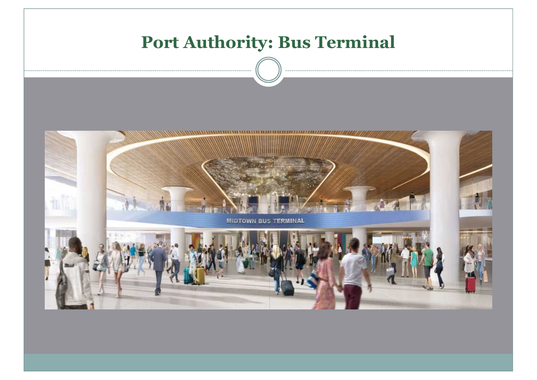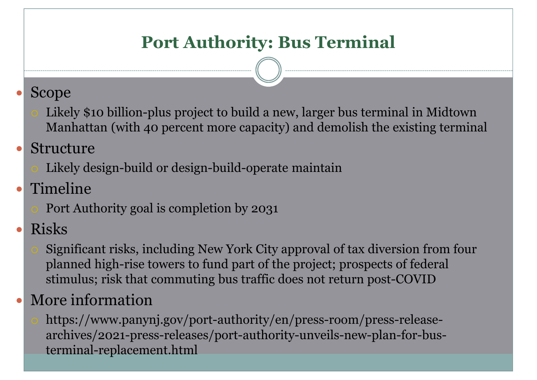## **Port Authority: Bus Terminal**

#### Scope

Likely \$10 billion-plus project to build a new, larger bus terminal in Midtown Manhattan (with 40 percent more capacity) and demolish the existing terminal

#### Structure

Likely design-build or design-build-operate maintain

#### Timeline

Port Authority goal is completion by 2031

#### Risks

Significant risks, including New York City approval of tax diversion from four planned high-rise towers to fund part of the project; prospects of federal stimulus; risk that commuting bus traffic does not return post-COVID

## More information

https://www.panynj.gov/port-authority/en/press-room/press-releasearchives/2021-press-releases/port-authority-unveils-new-plan-for-busterminal-replacement.html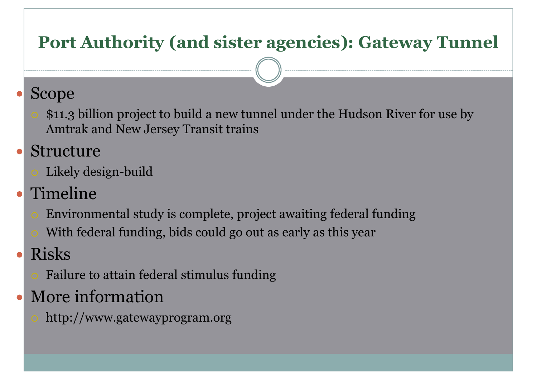## **Port Authority (and sister agencies): Gateway Tunnel**

## Scope

\$11.3 billion project to build a new tunnel under the Hudson River for use by Amtrak and New Jersey Transit trains

## Structure

- Likely design-build
- Timeline
	- Environmental study is complete, project awaiting federal funding
	- With federal funding, bids could go out as early as this year
- Risks
	- Failure to attain federal stimulus funding
- More information
	- http://www.gatewayprogram.org